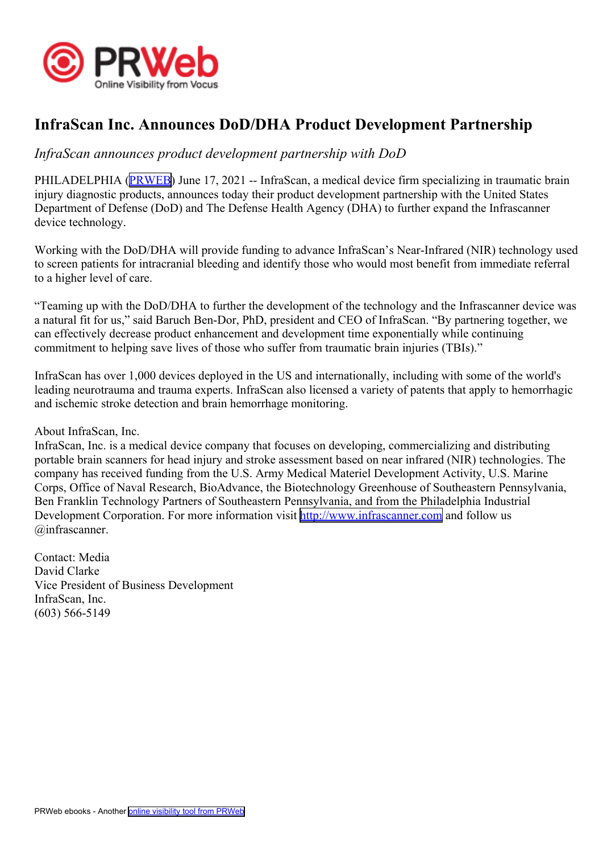

## **InfraScan Inc. Announces DoD/DHA Product Development Partnership**

## *InfraScan announces product development partnership with DoD*

PHILADELPHIA ([PRWEB](http://www.prweb.com)) June 17, 2021 -- InfraScan, a medical device firm specializing in traumatic brain injury diagnostic products, announces today their product development partnership with the United States Department of Defense (DoD) and The Defense Health Agency (DHA) to further expand the Infrascanner device technology.

Working with the DoD/DHA will provide funding to advance InfraScan's Near-Infrared (NIR) technology used to screen patients for intracranial bleeding and identify those who would most benefit from immediate referral to <sup>a</sup> higher level of care.

"Teaming up with the DoD/DHA to further the development of the technology and the Infrascanner device was <sup>a</sup> natural fit for us," said Baruch Ben-Dor, PhD, president and CEO of InfraScan. "By partnering together, we can effectively decrease product enhancement and development time exponentially while continuing commitment to helping save lives of those who suffer from traumatic brain injuries (TBIs)."

InfraScan has over 1,000 devices deployed in the US and internationally, including with some of the world's leading neurotrauma and trauma experts. InfraScan also licensed <sup>a</sup> variety of patents that apply to hemorrhagic and ischemic stroke detection and brain hemorrhage monitoring.

About InfraScan, Inc.

InfraScan, Inc. is <sup>a</sup> medical device company that focuses on developing, commercializing and distributing portable brain scanners for head injury and stroke assessment based on near infrared (NIR) technologies. The company has received funding from the U.S. Army Medical Materiel Development Activity, U.S. Marine Corps, Office of Naval Research, BioAdvance, the Biotechnology Greenhouse of Southeastern Pennsylvania, Ben Franklin Technology Partners of Southeastern Pennsylvania, and from the Philadelphia Industrial Development Corporation. For more information visit <http://www.infrascanner.com> and follow us @infrascanner.

Contact: Media David Clarke Vice President of Business Development InfraScan, Inc. (603) 566-5149